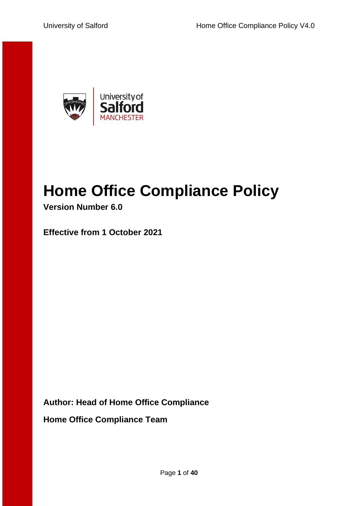

# <span id="page-0-0"></span>**Home Office Compliance Policy**

**Version Number 6.0**

**Effective from 1 October 2021**

**Author: Head of Home Office Compliance**

**Home Office Compliance Team**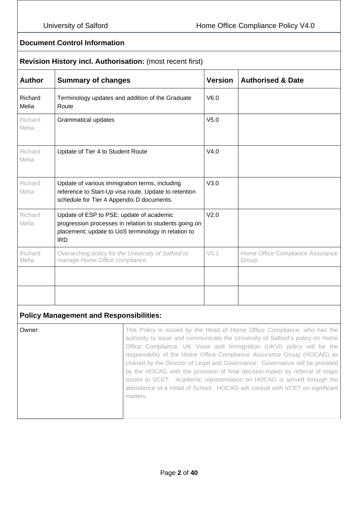#### **Document Control Information**

#### **Revision History incl. Authorisation:** (most recent first)

| Terminology updates and addition of the Graduate<br>Route                                                                                                               | V6.0             |                                           |
|-------------------------------------------------------------------------------------------------------------------------------------------------------------------------|------------------|-------------------------------------------|
|                                                                                                                                                                         |                  |                                           |
| <b>Grammatical updates</b>                                                                                                                                              | V <sub>5.0</sub> |                                           |
| Update of Tier 4 to Student Route                                                                                                                                       | V4.0             |                                           |
| Update of various immigration terms, including<br>reference to Start-Up visa route. Update to retention<br>schedule for Tier 4 Appendix D documents.                    | V3.0             |                                           |
| Update of ESP to PSE; update of academic<br>progression processes in relation to students going on<br>placement; update to UoS terminology in relation to<br><b>IRD</b> | V <sub>2.0</sub> |                                           |
| Overarching policy for the University of Salford to<br>manage Home Office compliance.                                                                                   | V <sub>0.1</sub> | Home Office Compliance Assurance<br>Group |
|                                                                                                                                                                         |                  |                                           |
|                                                                                                                                                                         |                  |                                           |
|                                                                                                                                                                         |                  |                                           |

#### **Policy Management and Responsibilities:**

**Owner:** This Policy is issued by the Head of Home Office Compliance, who has the authority to issue and communicate the University of Salford's policy on Home Office Compliance. UK Visas and Immigration (UKVI) policy will be the responsibility of the Home Office Compliance Assurance Group (HOCAG) as chaired by the Director of Legal and Governance. Governance will be provided by the HOCAG with the provision of final decision-maker by referral of major issues to VCET. Academic representation on HOCAG is served through the attendance of a Head of School. HOCAG will consult with VCET on significant matters.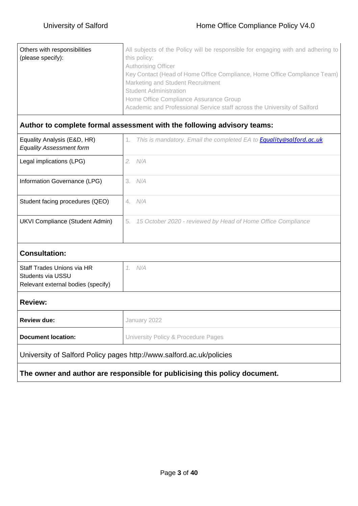| Others with responsibilities | All subjects of the Policy will be responsible for engaging with and adhering to |
|------------------------------|----------------------------------------------------------------------------------|
| (please specify):            | this policy:                                                                     |
|                              | <b>Authorising Officer</b>                                                       |
|                              | Key Contact (Head of Home Office Compliance, Home Office Compliance Team)        |
|                              | Marketing and Student Recruitment                                                |
|                              | <b>Student Administration</b>                                                    |
|                              | Home Office Compliance Assurance Group                                           |
|                              | Academic and Professional Service staff across the University of Salford         |
|                              |                                                                                  |

# **Author to complete formal assessment with the following advisory teams:**

| Equality Analysis (E&D, HR)<br><b>Equality Assessment form</b> | 1. This is mandatory. Email the completed EA to <b>Equality@salford.ac.uk</b> |
|----------------------------------------------------------------|-------------------------------------------------------------------------------|
| Legal implications (LPG)                                       | 2. N/A                                                                        |
| Information Governance (LPG)                                   | 3. N/A                                                                        |
| Student facing procedures (QEO)                                | N/A<br>4.                                                                     |
| <b>UKVI Compliance (Student Admin)</b>                         | 5. 15 October 2020 - reviewed by Head of Home Office Compliance               |
| <b>Consultation:</b>                                           |                                                                               |

#### Staff Trades Unions via HR Students via USSU Relevant external bodies (specify) *1. N/A*

#### **Review:**

| Review due:        | January 2022                        |
|--------------------|-------------------------------------|
| Document location: | University Policy & Procedure Pages |

University of Salford Policy pages <http://www.salford.ac.uk/policies>

#### **The owner and author are responsible for publicising this policy document.**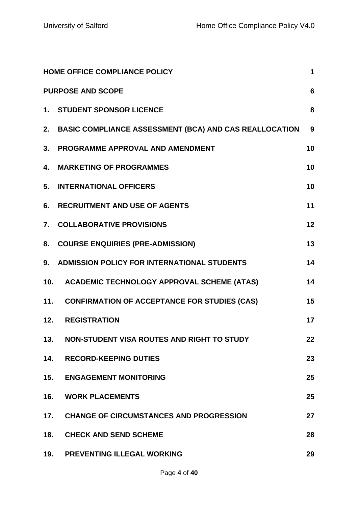| <b>HOME OFFICE COMPLIANCE POLICY</b><br>1 |                                                           |    |  |
|-------------------------------------------|-----------------------------------------------------------|----|--|
|                                           | <b>PURPOSE AND SCOPE</b>                                  | 6  |  |
|                                           | 1. STUDENT SPONSOR LICENCE                                | 8  |  |
|                                           | 2. BASIC COMPLIANCE ASSESSMENT (BCA) AND CAS REALLOCATION | 9  |  |
| 3.                                        | PROGRAMME APPROVAL AND AMENDMENT                          | 10 |  |
|                                           | 4. MARKETING OF PROGRAMMES                                | 10 |  |
| 5.                                        | <b>INTERNATIONAL OFFICERS</b>                             | 10 |  |
| 6.                                        | <b>RECRUITMENT AND USE OF AGENTS</b>                      | 11 |  |
| 7.                                        | <b>COLLABORATIVE PROVISIONS</b>                           | 12 |  |
| 8.                                        | <b>COURSE ENQUIRIES (PRE-ADMISSION)</b>                   | 13 |  |
| 9.                                        | ADMISSION POLICY FOR INTERNATIONAL STUDENTS               | 14 |  |
|                                           | 10. ACADEMIC TECHNOLOGY APPROVAL SCHEME (ATAS)            | 14 |  |
| 11.                                       | <b>CONFIRMATION OF ACCEPTANCE FOR STUDIES (CAS)</b>       | 15 |  |
| 12.                                       | <b>REGISTRATION</b>                                       | 17 |  |
| 13.                                       | <b>NON-STUDENT VISA ROUTES AND RIGHT TO STUDY</b>         | 22 |  |
| 14.                                       | <b>RECORD-KEEPING DUTIES</b>                              | 23 |  |
| 15.                                       | <b>ENGAGEMENT MONITORING</b>                              | 25 |  |
| 16.                                       | <b>WORK PLACEMENTS</b>                                    | 25 |  |
| 17.                                       | <b>CHANGE OF CIRCUMSTANCES AND PROGRESSION</b>            | 27 |  |
| 18.                                       | <b>CHECK AND SEND SCHEME</b>                              | 28 |  |
| 19.                                       | PREVENTING ILLEGAL WORKING                                | 29 |  |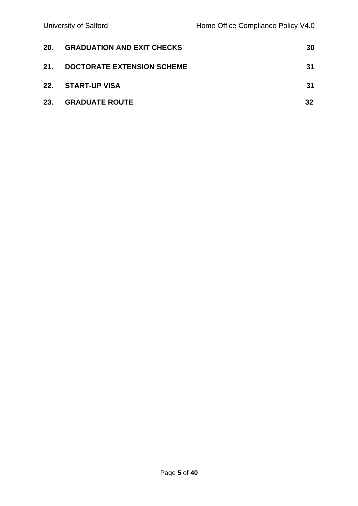| 20. | <b>GRADUATION AND EXIT CHECKS</b> | 30 |
|-----|-----------------------------------|----|
| 21. | <b>DOCTORATE EXTENSION SCHEME</b> | 31 |
|     | 22. START-UP VISA                 | 31 |
| 23. | <b>GRADUATE ROUTE</b>             | 32 |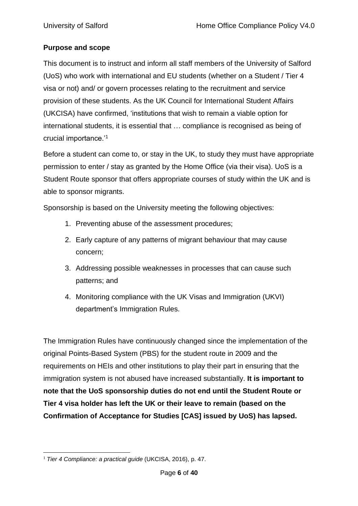# <span id="page-5-0"></span>**Purpose and scope**

This document is to instruct and inform all staff members of the University of Salford (UoS) who work with international and EU students (whether on a Student / Tier 4 visa or not) and/ or govern processes relating to the recruitment and service provision of these students. As the UK Council for International Student Affairs (UKCISA) have confirmed, 'institutions that wish to remain a viable option for international students, it is essential that … compliance is recognised as being of crucial importance.'<sup>1</sup>

Before a student can come to, or stay in the UK, to study they must have appropriate permission to enter / stay as granted by the Home Office (via their visa). UoS is a Student Route sponsor that offers appropriate courses of study within the UK and is able to sponsor migrants.

Sponsorship is based on the University meeting the following objectives:

- 1. Preventing abuse of the assessment procedures;
- 2. Early capture of any patterns of migrant behaviour that may cause concern;
- 3. Addressing possible weaknesses in processes that can cause such patterns; and
- 4. Monitoring compliance with the UK Visas and Immigration (UKVI) department's Immigration Rules.

The Immigration Rules have continuously changed since the implementation of the original Points-Based System (PBS) for the student route in 2009 and the requirements on HEIs and other institutions to play their part in ensuring that the immigration system is not abused have increased substantially. **It is important to note that the UoS sponsorship duties do not end until the Student Route or Tier 4 visa holder has left the UK or their leave to remain (based on the Confirmation of Acceptance for Studies [CAS] issued by UoS) has lapsed.**

<sup>1</sup> *Tier 4 Compliance: a practical guide* (UKCISA, 2016), p. 47.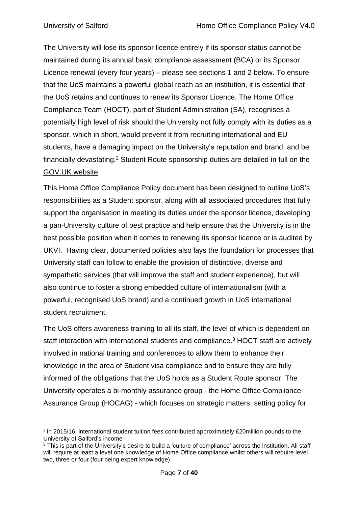The University will lose its sponsor licence entirely if its sponsor status cannot be maintained during its annual basic compliance assessment (BCA) or its Sponsor Licence renewal (every four years) – please see sections 1 and 2 below. To ensure that the UoS maintains a powerful global reach as an institution, it is essential that the UoS retains and continues to renew its Sponsor Licence. The Home Office Compliance Team (HOCT), part of Student Administration (SA), recognises a potentially high level of risk should the University not fully comply with its duties as a sponsor, which in short, would prevent it from recruiting international and EU students, have a damaging impact on the University's reputation and brand, and be financially devastating.<sup>2</sup> Student Route sponsorship duties are detailed in full on the [GOV.UK](https://www.gov.uk/government/publications/sponsor-a-tier-4-student-guidance-for-educators) website.

This Home Office Compliance Policy document has been designed to outline UoS's responsibilities as a Student sponsor, along with all associated procedures that fully support the organisation in meeting its duties under the sponsor licence, developing a pan-University culture of best practice and help ensure that the University is in the best possible position when it comes to renewing its sponsor licence or is audited by UKVI. Having clear, documented policies also lays the foundation for processes that University staff can follow to enable the provision of distinctive, diverse and sympathetic services (that will improve the staff and student experience), but will also continue to foster a strong embedded culture of internationalism (with a powerful, recognised UoS brand) and a continued growth in UoS international student recruitment.

The UoS offers awareness training to all its staff, the level of which is dependent on staff interaction with international students and compliance.<sup>3</sup> HOCT staff are actively involved in national training and conferences to allow them to enhance their knowledge in the area of Student visa compliance and to ensure they are fully informed of the obligations that the UoS holds as a Student Route sponsor. The University operates a bi-monthly assurance group - the Home Office Compliance Assurance Group (HOCAG) - which focuses on strategic matters; setting policy for

 $2$  In 2015/16, international student tuition fees contributed approximately £20million pounds to the University of Salford's income

<sup>&</sup>lt;sup>3</sup> This is part of the University's desire to build a 'culture of compliance' across the institution. All staff will require at least a level one knowledge of Home Office compliance whilst others will require level two, three or four (four being expert knowledge).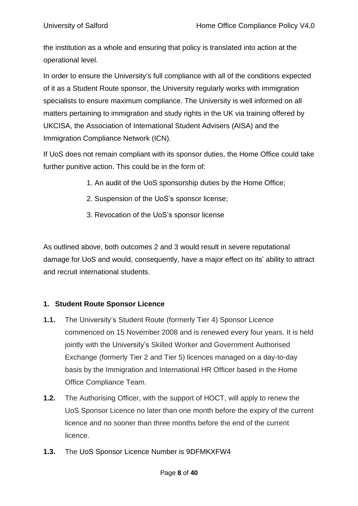the institution as a whole and ensuring that policy is translated into action at the operational level.

In order to ensure the University's full compliance with all of the conditions expected of it as a Student Route sponsor, the University regularly works with immigration specialists to ensure maximum compliance. The University is well informed on all matters pertaining to immigration and study rights in the UK via training offered by UKCISA, the Association of International Student Advisers (AISA) and the Immigration Compliance Network (ICN).

If UoS does not remain compliant with its sponsor duties, the Home Office could take further punitive action. This could be in the form of:

- 1. An audit of the UoS sponsorship duties by the Home Office;
- 2. Suspension of the UoS's sponsor license;
- 3. Revocation of the UoS's sponsor license

As outlined above, both outcomes 2 and 3 would result in severe reputational damage for UoS and would, consequently, have a major effect on its' ability to attract and recruit international students.

# <span id="page-7-0"></span>**1. Student Route Sponsor Licence**

- **1.1.** The University's Student Route (formerly Tier 4) Sponsor Licence commenced on 15 November 2008 and is renewed every four years. It is held jointly with the University's Skilled Worker and Government Authorised Exchange (formerly Tier 2 and Tier 5) licences managed on a day-to-day basis by the Immigration and International HR Officer based in the Home Office Compliance Team.
- **1.2.** The Authorising Officer, with the support of HOCT, will apply to renew the UoS Sponsor Licence no later than one month before the expiry of the current licence and no sooner than three months before the end of the current licence.
- **1.3.** The UoS Sponsor Licence Number is 9DFMKXFW4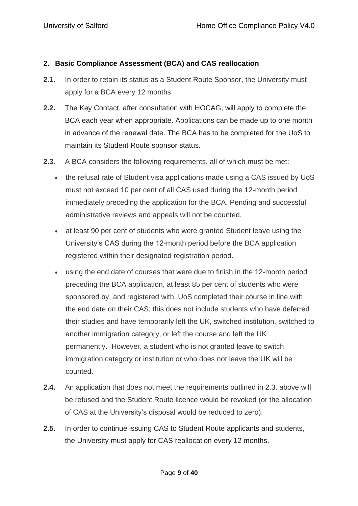#### <span id="page-8-0"></span>**2. Basic Compliance Assessment (BCA) and CAS reallocation**

- **2.1.** In order to retain its status as a Student Route Sponsor, the University must apply for a BCA every 12 months.
- **2.2.** The Key Contact, after consultation with HOCAG, will apply to complete the BCA each year when appropriate. Applications can be made up to one month in advance of the renewal date. The BCA has to be completed for the UoS to maintain its Student Route sponsor status.
- **2.3.** A BCA considers the following requirements, all of which must be met:
	- the refusal rate of Student visa applications made using a CAS issued by UoS must not exceed 10 per cent of all CAS used during the 12-month period immediately preceding the application for the BCA. Pending and successful administrative reviews and appeals will not be counted.
	- at least 90 per cent of students who were granted Student leave using the University's CAS during the 12-month period before the BCA application registered within their designated registration period.
	- using the end date of courses that were due to finish in the 12-month period preceding the BCA application, at least 85 per cent of students who were sponsored by, and registered with, UoS completed their course in line with the end date on their CAS; this does not include students who have deferred their studies and have temporarily left the UK, switched institution, switched to another immigration category, or left the course and left the UK permanently. However, a student who is not granted leave to switch immigration category or institution or who does not leave the UK will be counted.
- **2.4.** An application that does not meet the requirements outlined in 2.3. above will be refused and the Student Route licence would be revoked (or the allocation of CAS at the University's disposal would be reduced to zero).
- **2.5.** In order to continue issuing CAS to Student Route applicants and students, the University must apply for CAS reallocation every 12 months.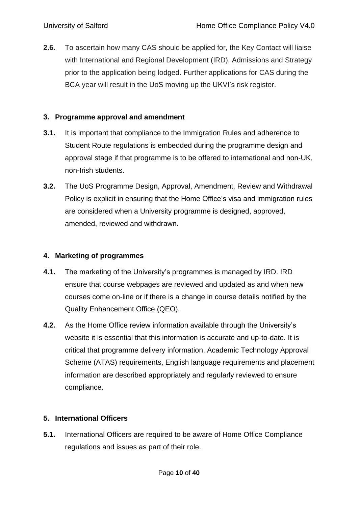**2.6.** To ascertain how many CAS should be applied for, the Key Contact will liaise with International and Regional Development (IRD), Admissions and Strategy prior to the application being lodged. Further applications for CAS during the BCA year will result in the UoS moving up the UKVI's risk register.

#### <span id="page-9-0"></span>**3. Programme approval and amendment**

- **3.1.** It is important that compliance to the Immigration Rules and adherence to Student Route regulations is embedded during the programme design and approval stage if that programme is to be offered to international and non-UK, non-Irish students.
- **3.2.** The UoS Programme Design, Approval, Amendment, Review and Withdrawal Policy is explicit in ensuring that the Home Office's visa and immigration rules are considered when a University programme is designed, approved, amended, reviewed and withdrawn.

# <span id="page-9-1"></span>**4. Marketing of programmes**

- **4.1.** The marketing of the University's programmes is managed by IRD. IRD ensure that course webpages are reviewed and updated as and when new courses come on-line or if there is a change in course details notified by the Quality Enhancement Office (QEO).
- **4.2.** As the Home Office review information available through the University's website it is essential that this information is accurate and up-to-date. It is critical that programme delivery information, Academic Technology Approval Scheme (ATAS) requirements, English language requirements and placement information are described appropriately and regularly reviewed to ensure compliance.

#### <span id="page-9-2"></span>**5. International Officers**

**5.1.** International Officers are required to be aware of Home Office Compliance regulations and issues as part of their role.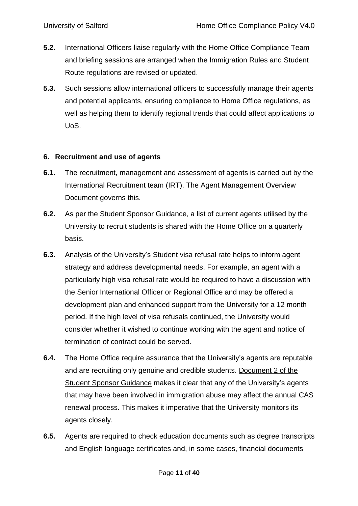- **5.2.** International Officers liaise regularly with the Home Office Compliance Team and briefing sessions are arranged when the Immigration Rules and Student Route regulations are revised or updated.
- **5.3.** Such sessions allow international officers to successfully manage their agents and potential applicants, ensuring compliance to Home Office regulations, as well as helping them to identify regional trends that could affect applications to UoS.

#### <span id="page-10-0"></span>**6. Recruitment and use of agents**

- **6.1.** The recruitment, management and assessment of agents is carried out by the International Recruitment team (IRT). The Agent Management Overview Document governs this.
- **6.2.** As per the Student Sponsor Guidance, a list of current agents utilised by the University to recruit students is shared with the Home Office on a quarterly basis.
- **6.3.** Analysis of the University's Student visa refusal rate helps to inform agent strategy and address developmental needs. For example, an agent with a particularly high visa refusal rate would be required to have a discussion with the Senior International Officer or Regional Office and may be offered a development plan and enhanced support from the University for a 12 month period. If the high level of visa refusals continued, the University would consider whether it wished to continue working with the agent and notice of termination of contract could be served.
- **6.4.** The Home Office require assurance that the University's agents are reputable and are recruiting only genuine and credible students. [Document](https://www.gov.uk/government/uploads/system/uploads/attachment_data/file/617528/Tier_4_Sponsor_Guidance_-_Document_2-Sponsorship_Duties_June17.pdf) 2 of the Student Sponsor [Guidance](https://www.gov.uk/government/uploads/system/uploads/attachment_data/file/617528/Tier_4_Sponsor_Guidance_-_Document_2-Sponsorship_Duties_June17.pdf) makes it clear that any of the University's agents that may have been involved in immigration abuse may affect the annual CAS renewal process. This makes it imperative that the University monitors its agents closely.
- **6.5.** Agents are required to check education documents such as degree transcripts and English language certificates and, in some cases, financial documents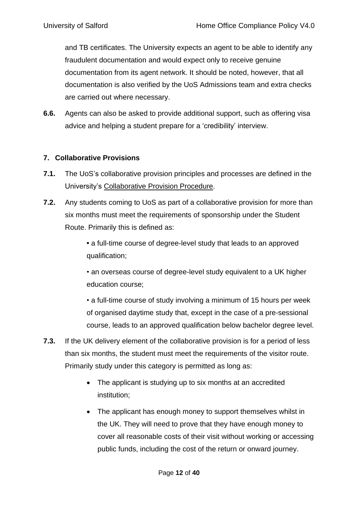and TB certificates. The University expects an agent to be able to identify any fraudulent documentation and would expect only to receive genuine documentation from its agent network. It should be noted, however, that all documentation is also verified by the UoS Admissions team and extra checks are carried out where necessary.

**6.6.** Agents can also be asked to provide additional support, such as offering visa advice and helping a student prepare for a 'credibility' interview.

## <span id="page-11-0"></span>**7. Collaborative Provisions**

- **7.1.** The UoS's collaborative provision principles and processes are defined in the University's [Collaborative](https://www.salford.ac.uk/sites/default/files/2020-07/CollaborativeProvisionProcedure.pdf) Provision Procedure.
- **7.2.** Any students coming to UoS as part of a collaborative provision for more than six months must meet the requirements of sponsorship under the Student Route. Primarily this is defined as:

**•** a full-time course of degree-level study that leads to an approved qualification;

• an overseas course of degree-level study equivalent to a UK higher education course;

• a full-time course of study involving a minimum of 15 hours per week of organised daytime study that, except in the case of a pre-sessional course, leads to an approved qualification below bachelor degree level.

- **7.3.** If the UK delivery element of the collaborative provision is for a period of less than six months, the student must meet the requirements of the visitor route. Primarily study under this category is permitted as long as:
	- The applicant is studying up to six months at an accredited institution;
	- The applicant has enough money to support themselves whilst in the UK. They will need to prove that they have enough money to cover all reasonable costs of their visit without working or accessing public funds, including the cost of the return or onward journey.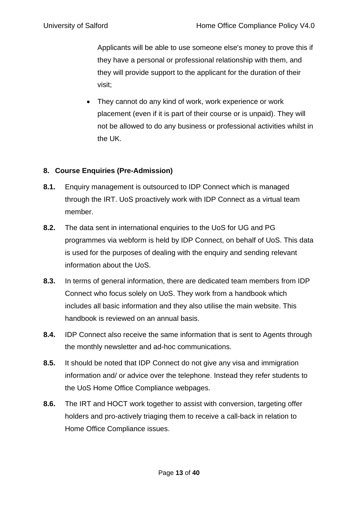Applicants will be able to use someone else's money to prove this if they have a personal or professional relationship with them, and they will provide support to the applicant for the duration of their visit;

• They cannot do any kind of work, work experience or work placement (even if it is part of their course or is unpaid). They will not be allowed to do any business or professional activities whilst in the UK.

# <span id="page-12-0"></span>**8. Course Enquiries (Pre-Admission)**

- **8.1.** Enquiry management is outsourced to IDP Connect which is managed through the IRT. UoS proactively work with IDP Connect as a virtual team member.
- **8.2.** The data sent in international enquiries to the UoS for UG and PG programmes via webform is held by IDP Connect, on behalf of UoS. This data is used for the purposes of dealing with the enquiry and sending relevant information about the UoS.
- **8.3.** In terms of general information, there are dedicated team members from IDP Connect who focus solely on UoS. They work from a handbook which includes all basic information and they also utilise the main website. This handbook is reviewed on an annual basis.
- **8.4.** IDP Connect also receive the same information that is sent to Agents through the monthly newsletter and ad-hoc communications.
- **8.5.** It should be noted that IDP Connect do not give any visa and immigration information and/ or advice over the telephone. Instead they refer students to the UoS Home Office Compliance webpages.
- **8.6.** The IRT and HOCT work together to assist with conversion, targeting offer holders and pro-actively triaging them to receive a call-back in relation to Home Office Compliance issues.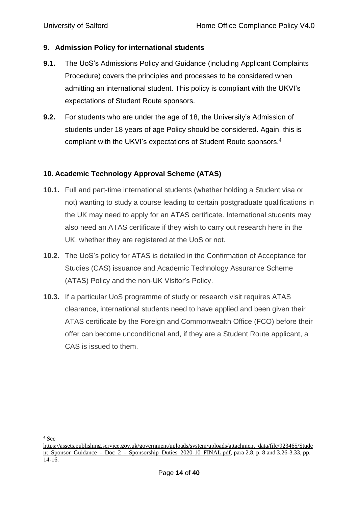#### <span id="page-13-0"></span>**9. Admission Policy for international students**

- **9.1.** The UoS's Admissions Policy and Guidance (including Applicant Complaints Procedure) covers the principles and processes to be considered when admitting an international student. This policy is compliant with the UKVI's expectations of Student Route sponsors.
- **9.2.** For students who are under the age of 18, the University's Admission of students under 18 years of age Policy should be considered. Again, this is compliant with the UKVI's expectations of Student Route sponsors.<sup>4</sup>

#### <span id="page-13-1"></span>**10. Academic Technology Approval Scheme (ATAS)**

- **10.1.** Full and part-time international students (whether holding a Student visa or not) wanting to study a course leading to certain postgraduate qualifications in the UK may need to apply for an ATAS certificate. International students may also need an ATAS certificate if they wish to carry out research here in the UK, whether they are registered at the UoS or not.
- **10.2.** The UoS's policy for ATAS is detailed in the Confirmation of Acceptance for Studies (CAS) issuance and Academic Technology Assurance Scheme (ATAS) Policy and the non-UK Visitor's Policy.
- **10.3.** If a particular UoS programme of study or research visit requires ATAS clearance, international students need to have applied and been given their ATAS certificate by the Foreign and Commonwealth Office (FCO) before their offer can become unconditional and, if they are a Student Route applicant, a CAS is issued to them.

 $^4$  See  $\,$ 

[https://assets.publishing.service.gov.uk/government/uploads/system/uploads/attachment\\_data/file/923465/Stude](https://assets.publishing.service.gov.uk/government/uploads/system/uploads/attachment_data/file/923465/Student_Sponsor_Guidance_-_Doc_2_-_Sponsorship_Duties_2020-10_FINAL.pdf) [nt\\_Sponsor\\_Guidance\\_-\\_Doc\\_2\\_-\\_Sponsorship\\_Duties\\_2020-10\\_FINAL.pdf,](https://assets.publishing.service.gov.uk/government/uploads/system/uploads/attachment_data/file/923465/Student_Sponsor_Guidance_-_Doc_2_-_Sponsorship_Duties_2020-10_FINAL.pdf) para 2.8, p. 8 and 3.26-3.33, pp. 14-16.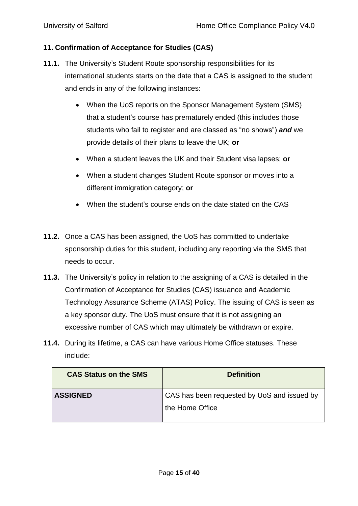#### <span id="page-14-0"></span>**11. Confirmation of Acceptance for Studies (CAS)**

- **11.1.** The University's Student Route sponsorship responsibilities for its international students starts on the date that a CAS is assigned to the student and ends in any of the following instances:
	- When the UoS reports on the Sponsor Management System (SMS) that a student's course has prematurely ended (this includes those students who fail to register and are classed as "no shows") *and* we provide details of their plans to leave the UK; **or**
	- When a student leaves the UK and their Student visa lapses; **or**
	- When a student changes Student Route sponsor or moves into a different immigration category; **or**
	- When the student's course ends on the date stated on the CAS
- **11.2.** Once a CAS has been assigned, the UoS has committed to undertake sponsorship duties for this student, including any reporting via the SMS that needs to occur.
- **11.3.** The University's policy in relation to the assigning of a CAS is detailed in the Confirmation of Acceptance for Studies (CAS) issuance and Academic Technology Assurance Scheme (ATAS) Policy. The issuing of CAS is seen as a key sponsor duty. The UoS must ensure that it is not assigning an excessive number of CAS which may ultimately be withdrawn or expire.
- **11.4.** During its lifetime, a CAS can have various Home Office statuses. These include:

| <b>CAS Status on the SMS</b> | <b>Definition</b>                                              |
|------------------------------|----------------------------------------------------------------|
| <b>ASSIGNED</b>              | CAS has been requested by UoS and issued by<br>the Home Office |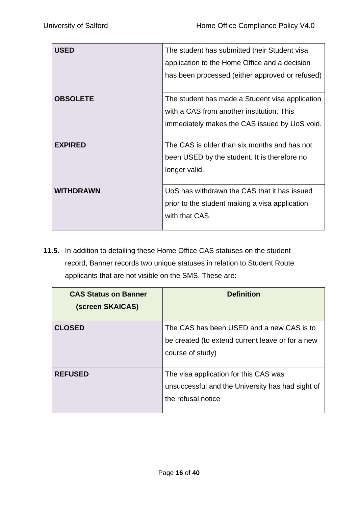| <b>USED</b>      | The student has submitted their Student visa    |
|------------------|-------------------------------------------------|
|                  | application to the Home Office and a decision   |
|                  | has been processed (either approved or refused) |
|                  |                                                 |
| <b>OBSOLETE</b>  | The student has made a Student visa application |
|                  | with a CAS from another institution. This       |
|                  | immediately makes the CAS issued by UoS void.   |
|                  |                                                 |
| <b>EXPIRED</b>   | The CAS is older than six months and has not    |
|                  | been USED by the student. It is therefore no    |
|                  | longer valid.                                   |
|                  |                                                 |
| <b>WITHDRAWN</b> | UoS has withdrawn the CAS that it has issued    |
|                  | prior to the student making a visa application  |
|                  | with that CAS.                                  |
|                  |                                                 |

**11.5.** In addition to detailing these Home Office CAS statuses on the student record, Banner records two unique statuses in relation to Student Route applicants that are not visible on the SMS. These are:

| <b>CAS Status on Banner</b><br>(screen SKAICAS) | <b>Definition</b>                                                                                                 |
|-------------------------------------------------|-------------------------------------------------------------------------------------------------------------------|
| <b>CLOSED</b>                                   | The CAS has been USED and a new CAS is to<br>be created (to extend current leave or for a new<br>course of study) |
| <b>REFUSED</b>                                  | The visa application for this CAS was<br>unsuccessful and the University has had sight of<br>the refusal notice   |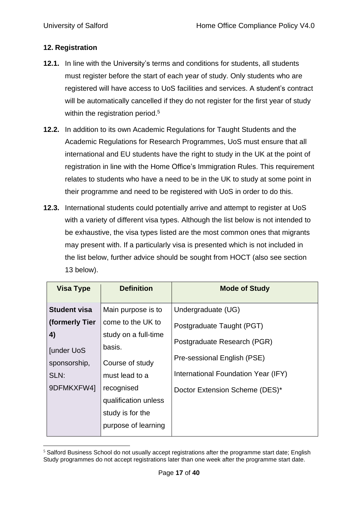# <span id="page-16-0"></span>**12. Registration**

- **12.1.** In line with the University's terms and conditions for students, all students must register before the start of each year of study. Only students who are registered will have access to UoS facilities and services. A student's contract will be automatically cancelled if they do not register for the first year of study within the registration period.<sup>5</sup>
- **12.2.** In addition to its own Academic Regulations for Taught Students and the Academic Regulations for Research Programmes, UoS must ensure that all international and EU students have the right to study in the UK at the point of registration in line with the Home Office's Immigration Rules. This requirement relates to students who have a need to be in the UK to study at some point in their programme and need to be registered with UoS in order to do this.
- **12.3.** International students could potentially arrive and attempt to register at UoS with a variety of different visa types. Although the list below is not intended to be exhaustive, the visa types listed are the most common ones that migrants may present with. If a particularly visa is presented which is not included in the list below, further advice should be sought from HOCT (also see section 13 below).

| <b>Visa Type</b>    | <b>Definition</b>    | <b>Mode of Study</b>                |
|---------------------|----------------------|-------------------------------------|
| <b>Student visa</b> | Main purpose is to   | Undergraduate (UG)                  |
| (formerly Tier      | come to the UK to    | Postgraduate Taught (PGT)           |
| 4)                  | study on a full-time | Postgraduate Research (PGR)         |
| <b>Junder UoS</b>   | basis.               |                                     |
| sponsorship,        | Course of study      | Pre-sessional English (PSE)         |
| SLN:                | must lead to a       | International Foundation Year (IFY) |
| 9DFMKXFW4]          | recognised           | Doctor Extension Scheme (DES)*      |
|                     | qualification unless |                                     |
|                     | study is for the     |                                     |
|                     | purpose of learning  |                                     |

<sup>&</sup>lt;sup>5</sup> Salford Business School do not usually accept registrations after the programme start date; English Study programmes do not accept registrations later than one week after the programme start date.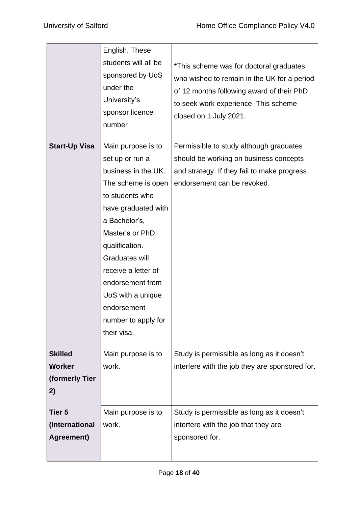|                                                         | English. These<br>students will all be<br>sponsored by UoS<br>under the<br>University's<br>sponsor licence<br>number                                                                                                                                                                                                      | *This scheme was for doctoral graduates<br>who wished to remain in the UK for a period<br>of 12 months following award of their PhD<br>to seek work experience. This scheme<br>closed on 1 July 2021. |
|---------------------------------------------------------|---------------------------------------------------------------------------------------------------------------------------------------------------------------------------------------------------------------------------------------------------------------------------------------------------------------------------|-------------------------------------------------------------------------------------------------------------------------------------------------------------------------------------------------------|
| <b>Start-Up Visa</b>                                    | Main purpose is to<br>set up or run a<br>business in the UK.<br>The scheme is open<br>to students who<br>have graduated with<br>a Bachelor's,<br>Master's or PhD<br>qualification.<br>Graduates will<br>receive a letter of<br>endorsement from<br>UoS with a unique<br>endorsement<br>number to apply for<br>their visa. | Permissible to study although graduates<br>should be working on business concepts<br>and strategy. If they fail to make progress<br>endorsement can be revoked.                                       |
| <b>Skilled</b><br><b>Worker</b><br>(formerly Tier<br>2) | Main purpose is to<br>work.                                                                                                                                                                                                                                                                                               | Study is permissible as long as it doesn't<br>interfere with the job they are sponsored for.                                                                                                          |
| Tier 5<br>(International<br>Agreement)                  | Main purpose is to<br>work.                                                                                                                                                                                                                                                                                               | Study is permissible as long as it doesn't<br>interfere with the job that they are<br>sponsored for.                                                                                                  |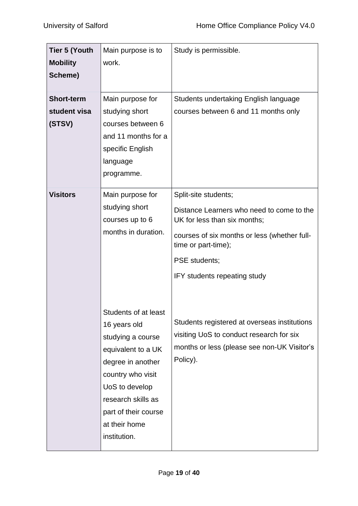| <b>Tier 5 (Youth</b><br><b>Mobility</b>     | Main purpose is to<br>work.                                                                                                                                                                                                | Study is permissible.                                                                                                                                                                                                     |
|---------------------------------------------|----------------------------------------------------------------------------------------------------------------------------------------------------------------------------------------------------------------------------|---------------------------------------------------------------------------------------------------------------------------------------------------------------------------------------------------------------------------|
| Scheme)                                     |                                                                                                                                                                                                                            |                                                                                                                                                                                                                           |
| <b>Short-term</b><br>student visa<br>(STSV) | Main purpose for<br>studying short<br>courses between 6<br>and 11 months for a<br>specific English<br>language<br>programme.                                                                                               | Students undertaking English language<br>courses between 6 and 11 months only                                                                                                                                             |
| <b>Visitors</b>                             | Main purpose for<br>studying short<br>courses up to 6<br>months in duration.                                                                                                                                               | Split-site students;<br>Distance Learners who need to come to the<br>UK for less than six months;<br>courses of six months or less (whether full-<br>time or part-time);<br>PSE students;<br>IFY students repeating study |
|                                             | Students of at least<br>16 years old<br>studying a course<br>equivalent to a UK<br>degree in another<br>country who visit<br>UoS to develop<br>research skills as<br>part of their course<br>at their home<br>institution. | Students registered at overseas institutions<br>visiting UoS to conduct research for six<br>months or less (please see non-UK Visitor's<br>Policy).                                                                       |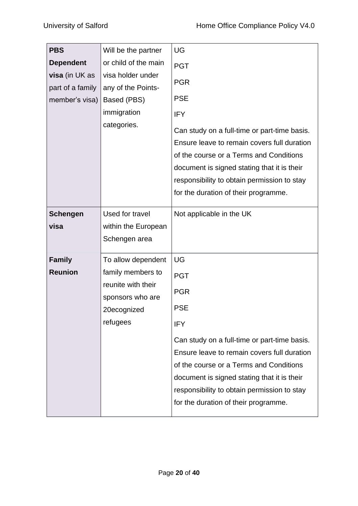| <b>PBS</b><br><b>Dependent</b><br>visa (in UK as<br>part of a family<br>member's visa) | Will be the partner<br>or child of the main<br>visa holder under<br>any of the Points-<br>Based (PBS)<br>immigration<br>categories. | UG<br><b>PGT</b><br><b>PGR</b><br><b>PSE</b><br><b>IFY</b><br>Can study on a full-time or part-time basis.<br>Ensure leave to remain covers full duration<br>of the course or a Terms and Conditions<br>document is signed stating that it is their                                                                                 |  |
|----------------------------------------------------------------------------------------|-------------------------------------------------------------------------------------------------------------------------------------|-------------------------------------------------------------------------------------------------------------------------------------------------------------------------------------------------------------------------------------------------------------------------------------------------------------------------------------|--|
|                                                                                        |                                                                                                                                     | responsibility to obtain permission to stay<br>for the duration of their programme.                                                                                                                                                                                                                                                 |  |
| <b>Schengen</b><br>visa                                                                | Used for travel<br>within the European<br>Schengen area                                                                             | Not applicable in the UK                                                                                                                                                                                                                                                                                                            |  |
| <b>Family</b><br><b>Reunion</b>                                                        | To allow dependent<br>family members to<br>reunite with their<br>sponsors who are<br>20ecognized<br>refugees                        | UG<br><b>PGT</b><br><b>PGR</b><br><b>PSE</b><br>IFY<br>Can study on a full-time or part-time basis.<br>Ensure leave to remain covers full duration<br>of the course or a Terms and Conditions<br>document is signed stating that it is their<br>responsibility to obtain permission to stay<br>for the duration of their programme. |  |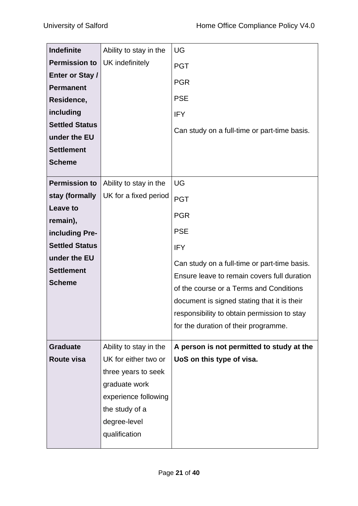| <b>Indefinite</b><br><b>Permission to</b><br>Enter or Stay /<br><b>Permanent</b><br>Residence,<br>including<br><b>Settled Status</b><br>under the EU<br><b>Settlement</b><br><b>Scheme</b> | Ability to stay in the<br>UK indefinitely                                                                                                                         | UG<br><b>PGT</b><br><b>PGR</b><br><b>PSE</b><br><b>IFY</b><br>Can study on a full-time or part-time basis.                                                                                                                                                                                                                                 |
|--------------------------------------------------------------------------------------------------------------------------------------------------------------------------------------------|-------------------------------------------------------------------------------------------------------------------------------------------------------------------|--------------------------------------------------------------------------------------------------------------------------------------------------------------------------------------------------------------------------------------------------------------------------------------------------------------------------------------------|
| <b>Permission to</b><br>stay (formally<br>Leave to<br>remain),<br>including Pre-<br><b>Settled Status</b><br>under the EU<br><b>Settlement</b><br><b>Scheme</b>                            | Ability to stay in the<br>UK for a fixed period                                                                                                                   | UG<br><b>PGT</b><br><b>PGR</b><br><b>PSE</b><br><b>IFY</b><br>Can study on a full-time or part-time basis.<br>Ensure leave to remain covers full duration<br>of the course or a Terms and Conditions<br>document is signed stating that it is their<br>responsibility to obtain permission to stay<br>for the duration of their programme. |
| <b>Graduate</b><br>Route visa                                                                                                                                                              | Ability to stay in the<br>UK for either two or<br>three years to seek<br>graduate work<br>experience following<br>the study of a<br>degree-level<br>qualification | A person is not permitted to study at the<br>UoS on this type of visa.                                                                                                                                                                                                                                                                     |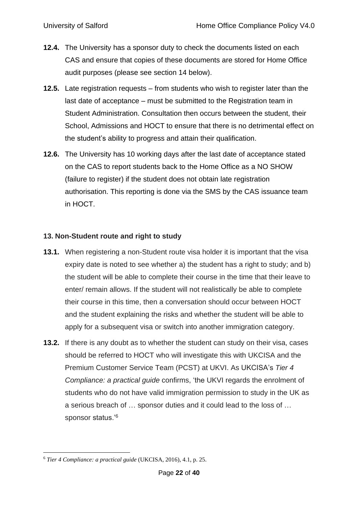- **12.4.** The University has a sponsor duty to check the documents listed on each CAS and ensure that copies of these documents are stored for Home Office audit purposes (please see section 14 below).
- **12.5.** Late registration requests from students who wish to register later than the last date of acceptance – must be submitted to the Registration team in Student Administration. Consultation then occurs between the student, their School, Admissions and HOCT to ensure that there is no detrimental effect on the student's ability to progress and attain their qualification.
- **12.6.** The University has 10 working days after the last date of acceptance stated on the CAS to report students back to the Home Office as a NO SHOW (failure to register) if the student does not obtain late registration authorisation. This reporting is done via the SMS by the CAS issuance team in HOCT.

## <span id="page-21-0"></span>**13. Non-Student route and right to study**

- **13.1.** When registering a non-Student route visa holder it is important that the visa expiry date is noted to see whether a) the student has a right to study; and b) the student will be able to complete their course in the time that their leave to enter/ remain allows. If the student will not realistically be able to complete their course in this time, then a conversation should occur between HOCT and the student explaining the risks and whether the student will be able to apply for a subsequent visa or switch into another immigration category.
- **13.2.** If there is any doubt as to whether the student can study on their visa, cases should be referred to HOCT who will investigate this with UKCISA and the Premium Customer Service Team (PCST) at UKVI. As UKCISA's *Tier 4 Compliance: a practical guide* confirms, 'the UKVI regards the enrolment of students who do not have valid immigration permission to study in the UK as a serious breach of … sponsor duties and it could lead to the loss of … sponsor status.'<sup>6</sup>

<sup>6</sup> *Tier 4 Compliance: a practical guide* (UKCISA, 2016), 4.1, p. 25.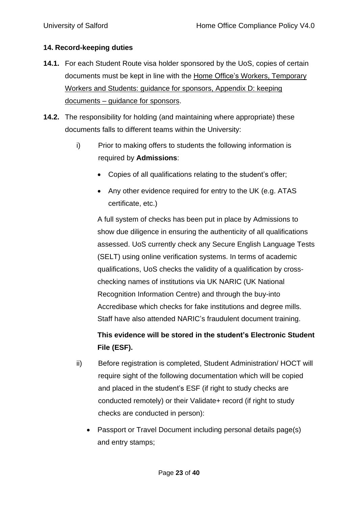# <span id="page-22-0"></span>**14. Record-keeping duties**

- **14.1.** For each Student Route visa holder sponsored by the UoS, copies of certain documents must be kept in line with the Home Office's Workers, [Temporary](https://www.gov.uk/government/uploads/system/uploads/attachment_data/file/571025/Appendix_D_24-11-2016.pdf) Workers and Students: guidance for [sponsors,](https://www.gov.uk/government/uploads/system/uploads/attachment_data/file/571025/Appendix_D_24-11-2016.pdf) Appendix D: keeping [documents](https://www.gov.uk/government/uploads/system/uploads/attachment_data/file/571025/Appendix_D_24-11-2016.pdf) – guidance for sponsors.
- **14.2.** The responsibility for holding (and maintaining where appropriate) these documents falls to different teams within the University:
	- i) Prior to making offers to students the following information is required by **Admissions**:
		- Copies of all qualifications relating to the student's offer;
		- Any other evidence required for entry to the UK (e.g. ATAS certificate, etc.)

A full system of checks has been put in place by Admissions to show due diligence in ensuring the authenticity of all qualifications assessed. UoS currently check any Secure English Language Tests (SELT) using online verification systems. In terms of academic qualifications, UoS checks the validity of a qualification by crosschecking names of institutions via UK NARIC (UK National Recognition Information Centre) and through the buy-into Accredibase which checks for fake institutions and degree mills. Staff have also attended NARIC's fraudulent document training.

# **This evidence will be stored in the student's Electronic Student File (ESF).**

- ii) Before registration is completed, Student Administration/ HOCT will require sight of the following documentation which will be copied and placed in the student's ESF (if right to study checks are conducted remotely) or their Validate+ record (if right to study checks are conducted in person):
	- Passport or Travel Document including personal details page(s) and entry stamps;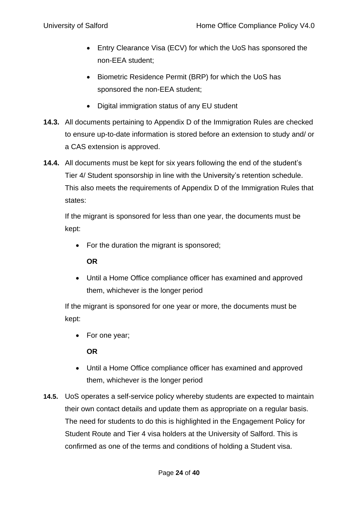- Entry Clearance Visa (ECV) for which the UoS has sponsored the non-EEA student;
- Biometric Residence Permit (BRP) for which the UoS has sponsored the non-EEA student;
- Digital immigration status of any EU student
- **14.3.** All documents pertaining to Appendix D of the Immigration Rules are checked to ensure up-to-date information is stored before an extension to study and/ or a CAS extension is approved.
- **14.4.** All documents must be kept for six years following the end of the student's Tier 4/ Student sponsorship in line with the University's retention schedule. This also meets the requirements of Appendix D of the Immigration Rules that states:

If the migrant is sponsored for less than one year, the documents must be kept:

• For the duration the migrant is sponsored;

# **OR**

• Until a Home Office compliance officer has examined and approved them, whichever is the longer period

If the migrant is sponsored for one year or more, the documents must be kept:

• For one year;

**OR**

- Until a Home Office compliance officer has examined and approved them, whichever is the longer period
- **14.5.** UoS operates a self-service policy whereby students are expected to maintain their own contact details and update them as appropriate on a regular basis. The need for students to do this is highlighted in the Engagement Policy for Student Route and Tier 4 visa holders at the University of Salford. This is confirmed as one of the terms and conditions of holding a Student visa.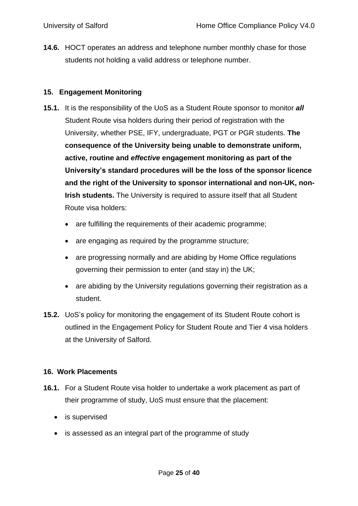**14.6.** HOCT operates an address and telephone number monthly chase for those students not holding a valid address or telephone number.

#### <span id="page-24-0"></span>**15. Engagement Monitoring**

- **15.1.** It is the responsibility of the UoS as a Student Route sponsor to monitor *all* Student Route visa holders during their period of registration with the University, whether PSE, IFY, undergraduate, PGT or PGR students. **The consequence of the University being unable to demonstrate uniform, active, routine and** *effective* **engagement monitoring as part of the University's standard procedures will be the loss of the sponsor licence and the right of the University to sponsor international and non-UK, non-Irish students.** The University is required to assure itself that all Student Route visa holders:
	- are fulfilling the requirements of their academic programme;
	- are engaging as required by the programme structure;
	- are progressing normally and are abiding by Home Office regulations governing their permission to enter (and stay in) the UK;
	- are abiding by the University regulations governing their registration as a student.
- **15.2.** UoS's policy for monitoring the engagement of its Student Route cohort is outlined in the Engagement Policy for Student Route and Tier 4 visa holders at the University of Salford.

#### <span id="page-24-1"></span>**16. Work Placements**

- **16.1.** For a Student Route visa holder to undertake a work placement as part of their programme of study, UoS must ensure that the placement:
	- is supervised
	- is assessed as an integral part of the programme of study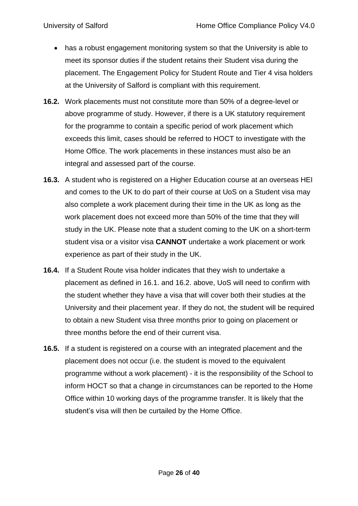- has a robust engagement monitoring system so that the University is able to meet its sponsor duties if the student retains their Student visa during the placement. The Engagement Policy for Student Route and Tier 4 visa holders at the University of Salford is compliant with this requirement.
- **16.2.** Work placements must not constitute more than 50% of a degree-level or above programme of study. However, if there is a UK statutory requirement for the programme to contain a specific period of work placement which exceeds this limit, cases should be referred to HOCT to investigate with the Home Office. The work placements in these instances must also be an integral and assessed part of the course.
- **16.3.** A student who is registered on a Higher Education course at an overseas HEI and comes to the UK to do part of their course at UoS on a Student visa may also complete a work placement during their time in the UK as long as the work placement does not exceed more than 50% of the time that they will study in the UK. Please note that a student coming to the UK on a short-term student visa or a visitor visa **CANNOT** undertake a work placement or work experience as part of their study in the UK.
- **16.4.** If a Student Route visa holder indicates that they wish to undertake a placement as defined in 16.1. and 16.2. above, UoS will need to confirm with the student whether they have a visa that will cover both their studies at the University and their placement year. If they do not, the student will be required to obtain a new Student visa three months prior to going on placement or three months before the end of their current visa.
- **16.5.** If a student is registered on a course with an integrated placement and the placement does not occur (i.e. the student is moved to the equivalent programme without a work placement) - it is the responsibility of the School to inform HOCT so that a change in circumstances can be reported to the Home Office within 10 working days of the programme transfer. It is likely that the student's visa will then be curtailed by the Home Office.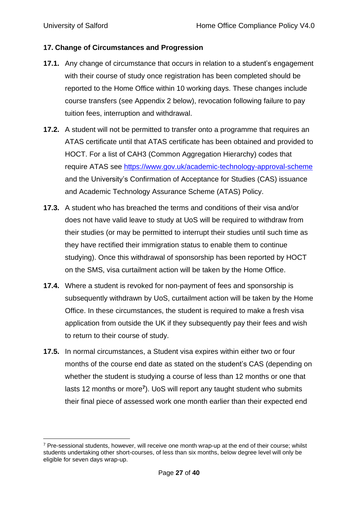#### <span id="page-26-0"></span>**17. Change of Circumstances and Progression**

- **17.1.** Any change of circumstance that occurs in relation to a student's engagement with their course of study once registration has been completed should be reported to the Home Office within 10 working days. These changes include course transfers (see Appendix 2 below), revocation following failure to pay tuition fees, interruption and withdrawal.
- **17.2.** A student will not be permitted to transfer onto a programme that requires an ATAS certificate until that ATAS certificate has been obtained and provided to HOCT. For a list of CAH3 (Common Aggregation Hierarchy) codes that require ATAS see <https://www.gov.uk/academic-technology-approval-scheme> and the University's Confirmation of Acceptance for Studies (CAS) issuance and Academic Technology Assurance Scheme (ATAS) Policy.
- **17.3.** A student who has breached the terms and conditions of their visa and/or does not have valid leave to study at UoS will be required to withdraw from their studies (or may be permitted to interrupt their studies until such time as they have rectified their immigration status to enable them to continue studying). Once this withdrawal of sponsorship has been reported by HOCT on the SMS, visa curtailment action will be taken by the Home Office.
- **17.4.** Where a student is revoked for non-payment of fees and sponsorship is subsequently withdrawn by UoS, curtailment action will be taken by the Home Office. In these circumstances, the student is required to make a fresh visa application from outside the UK if they subsequently pay their fees and wish to return to their course of study.
- **17.5.** In normal circumstances, a Student visa expires within either two or four months of the course end date as stated on the student's CAS (depending on whether the student is studying a course of less than 12 months or one that lasts 12 months or more**<sup>7</sup>** ). UoS will report any taught student who submits their final piece of assessed work one month earlier than their expected end

 $<sup>7</sup>$  Pre-sessional students, however, will receive one month wrap-up at the end of their course; whilst</sup> students undertaking other short-courses, of less than six months, below degree level will only be eligible for seven days wrap-up.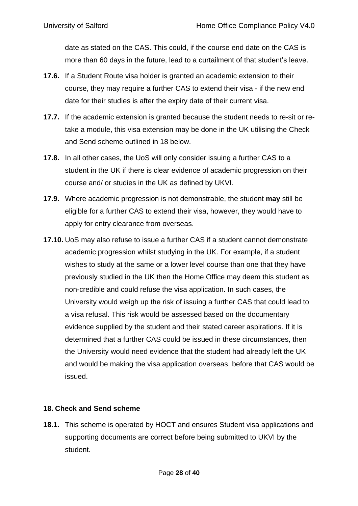date as stated on the CAS. This could, if the course end date on the CAS is more than 60 days in the future, lead to a curtailment of that student's leave.

- **17.6.** If a Student Route visa holder is granted an academic extension to their course, they may require a further CAS to extend their visa - if the new end date for their studies is after the expiry date of their current visa.
- **17.7.** If the academic extension is granted because the student needs to re-sit or retake a module, this visa extension may be done in the UK utilising the Check and Send scheme outlined in 18 below.
- **17.8.** In all other cases, the UoS will only consider issuing a further CAS to a student in the UK if there is clear evidence of academic progression on their course and/ or studies in the UK as defined by UKVI.
- **17.9.** Where academic progression is not demonstrable, the student **may** still be eligible for a further CAS to extend their visa, however, they would have to apply for entry clearance from overseas.
- **17.10.** UoS may also refuse to issue a further CAS if a student cannot demonstrate academic progression whilst studying in the UK. For example, if a student wishes to study at the same or a lower level course than one that they have previously studied in the UK then the Home Office may deem this student as non-credible and could refuse the visa application. In such cases, the University would weigh up the risk of issuing a further CAS that could lead to a visa refusal. This risk would be assessed based on the documentary evidence supplied by the student and their stated career aspirations. If it is determined that a further CAS could be issued in these circumstances, then the University would need evidence that the student had already left the UK and would be making the visa application overseas, before that CAS would be issued.

# <span id="page-27-0"></span>**18. Check and Send scheme**

**18.1.** This scheme is operated by HOCT and ensures Student visa applications and supporting documents are correct before being submitted to UKVI by the student.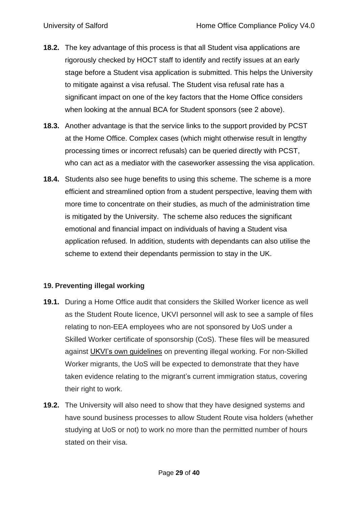- **18.2.** The key advantage of this process is that all Student visa applications are rigorously checked by HOCT staff to identify and rectify issues at an early stage before a Student visa application is submitted. This helps the University to mitigate against a visa refusal. The Student visa refusal rate has a significant impact on one of the key factors that the Home Office considers when looking at the annual BCA for Student sponsors (see 2 above).
- **18.3.** Another advantage is that the service links to the support provided by PCST at the Home Office. Complex cases (which might otherwise result in lengthy processing times or incorrect refusals) can be queried directly with PCST, who can act as a mediator with the caseworker assessing the visa application.
- **18.4.** Students also see huge benefits to using this scheme. The scheme is a more efficient and streamlined option from a student perspective, leaving them with more time to concentrate on their studies, as much of the administration time is mitigated by the University. The scheme also reduces the significant emotional and financial impact on individuals of having a Student visa application refused. In addition, students with dependants can also utilise the scheme to extend their dependants permission to stay in the UK.

# <span id="page-28-0"></span>**19. Preventing illegal working**

- **19.1.** During a Home Office audit that considers the Skilled Worker licence as well as the Student Route licence, UKVI personnel will ask to see a sample of files relating to non-EEA employees who are not sponsored by UoS under a Skilled Worker certificate of sponsorship (CoS). These files will be measured against UKVI's own [guidelines](https://www.gov.uk/government/publications/sponsor-a-tier-2-or-5-worker-guidance-for-employers) on preventing illegal working. For non-Skilled Worker migrants, the UoS will be expected to demonstrate that they have taken evidence relating to the migrant's current immigration status, covering their right to work.
- **19.2.** The University will also need to show that they have designed systems and have sound business processes to allow Student Route visa holders (whether studying at UoS or not) to work no more than the permitted number of hours stated on their visa.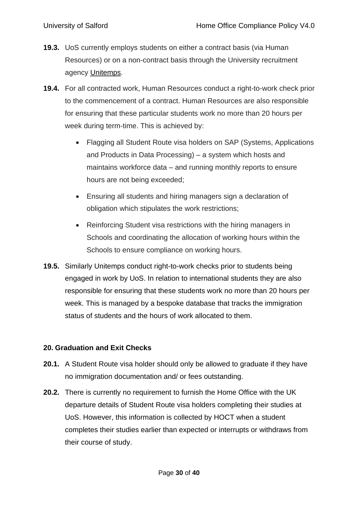- **19.3.** UoS currently employs students on either a contract basis (via Human Resources) or on a non-contract basis through the University recruitment agency [Unitemps.](http://www.salford.ac.uk/unitemps)
- **19.4.** For all contracted work, Human Resources conduct a right-to-work check prior to the commencement of a contract. Human Resources are also responsible for ensuring that these particular students work no more than 20 hours per week during term-time. This is achieved by:
	- Flagging all Student Route visa holders on SAP (Systems, Applications and Products in Data Processing) – a system which hosts and maintains workforce data – and running monthly reports to ensure hours are not being exceeded;
	- Ensuring all students and hiring managers sign a declaration of obligation which stipulates the work restrictions;
	- Reinforcing Student visa restrictions with the hiring managers in Schools and coordinating the allocation of working hours within the Schools to ensure compliance on working hours.
- **19.5.** Similarly Unitemps conduct right-to-work checks prior to students being engaged in work by UoS. In relation to international students they are also responsible for ensuring that these students work no more than 20 hours per week. This is managed by a bespoke database that tracks the immigration status of students and the hours of work allocated to them.

#### <span id="page-29-0"></span>**20. Graduation and Exit Checks**

- **20.1.** A Student Route visa holder should only be allowed to graduate if they have no immigration documentation and/ or fees outstanding.
- **20.2.** There is currently no requirement to furnish the Home Office with the UK departure details of Student Route visa holders completing their studies at UoS. However, this information is collected by HOCT when a student completes their studies earlier than expected or interrupts or withdraws from their course of study.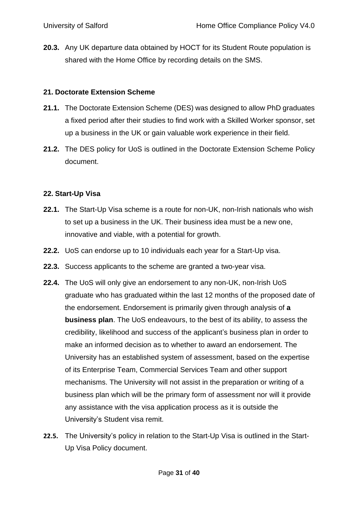**20.3.** Any UK departure data obtained by HOCT for its Student Route population is shared with the Home Office by recording details on the SMS.

#### <span id="page-30-0"></span>**21. Doctorate Extension Scheme**

- **21.1.** The Doctorate Extension Scheme (DES) was designed to allow PhD graduates a fixed period after their studies to find work with a Skilled Worker sponsor, set up a business in the UK or gain valuable work experience in their field.
- **21.2.** The DES policy for UoS is outlined in the Doctorate Extension Scheme Policy document.

## <span id="page-30-1"></span>**22. Start-Up Visa**

- **22.1.** The Start-Up Visa scheme is a route for non-UK, non-Irish nationals who wish to set up a business in the UK. Their business idea must be a new one, innovative and viable, with a potential for growth.
- **22.2.** UoS can endorse up to 10 individuals each year for a Start-Up visa.
- **22.3.** Success applicants to the scheme are granted a two-year visa.
- **22.4.** The UoS will only give an endorsement to any non-UK, non-Irish UoS graduate who has graduated within the last 12 months of the proposed date of the endorsement. Endorsement is primarily given through analysis of **a business plan**. The UoS endeavours, to the best of its ability, to assess the credibility, likelihood and success of the applicant's business plan in order to make an informed decision as to whether to award an endorsement. The University has an established system of assessment, based on the expertise of its Enterprise Team, Commercial Services Team and other support mechanisms. The University will not assist in the preparation or writing of a business plan which will be the primary form of assessment nor will it provide any assistance with the visa application process as it is outside the University's Student visa remit.
- **22.5.** The University's policy in relation to the Start-Up Visa is outlined in the Start-Up Visa Policy document.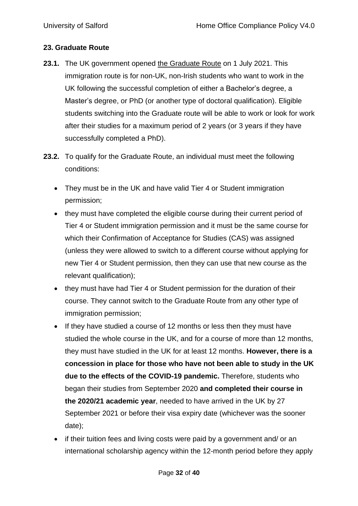#### **23. Graduate Route**

- **23.1.** The UK government opened the [Graduate](https://www.gov.uk/government/news/graduate-route-to-open-to-international-students-on-1-july-2021) Route on 1 July 2021. This immigration route is for non-UK, non-Irish students who want to work in the UK following the successful completion of either a Bachelor's degree, a Master's degree, or PhD (or another type of doctoral qualification). Eligible students switching into the Graduate route will be able to work or look for work after their studies for a maximum period of 2 years (or 3 years if they have successfully completed a PhD).
- **23.2.** To qualify for the Graduate Route, an individual must meet the following conditions:
	- They must be in the UK and have valid Tier 4 or Student immigration permission;
	- they must have completed the eligible course during their current period of Tier 4 or Student immigration permission and it must be the same course for which their Confirmation of Acceptance for Studies (CAS) was assigned (unless they were allowed to switch to a different course without applying for new Tier 4 or Student permission, then they can use that new course as the relevant qualification);
	- they must have had Tier 4 or Student permission for the duration of their course. They cannot switch to the Graduate Route from any other type of immigration permission;
	- If they have studied a course of 12 months or less then they must have studied the whole course in the UK, and for a course of more than 12 months, they must have studied in the UK for at least 12 months. **However, there is a concession in place for those who have not been able to study in the UK due to the effects of the COVID-19 pandemic.** Therefore, students who began their studies from September 2020 **and completed their course in the 2020/21 academic year**, needed to have arrived in the UK by 27 September 2021 or before their visa expiry date (whichever was the sooner date);
	- if their tuition fees and living costs were paid by a government and/ or an international scholarship agency within the 12-month period before they apply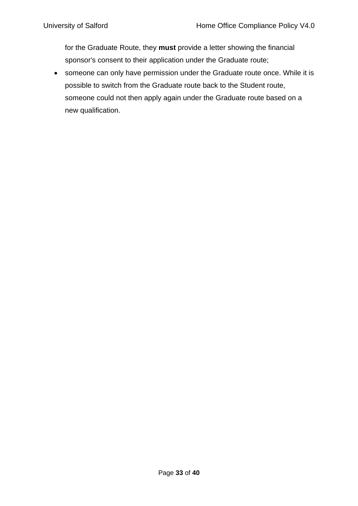for the Graduate Route, they **must** provide a letter showing the financial sponsor's consent to their application under the Graduate route;

• someone can only have permission under the Graduate route once. While it is possible to switch from the Graduate route back to the Student route, someone could not then apply again under the Graduate route based on a new qualification.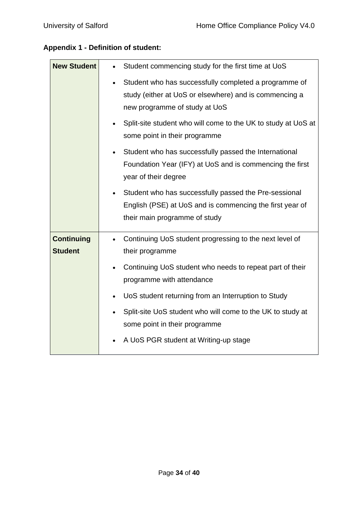# **Appendix 1 - Definition of student:**

| <b>New Student</b>                  | Student commencing study for the first time at UoS<br>$\bullet$                                                                                               |  |  |  |
|-------------------------------------|---------------------------------------------------------------------------------------------------------------------------------------------------------------|--|--|--|
|                                     | Student who has successfully completed a programme of<br>$\bullet$<br>study (either at UoS or elsewhere) and is commencing a<br>new programme of study at UoS |  |  |  |
|                                     | Split-site student who will come to the UK to study at UoS at<br>some point in their programme                                                                |  |  |  |
|                                     | Student who has successfully passed the International<br>$\bullet$<br>Foundation Year (IFY) at UoS and is commencing the first<br>year of their degree        |  |  |  |
|                                     | Student who has successfully passed the Pre-sessional<br>English (PSE) at UoS and is commencing the first year of<br>their main programme of study            |  |  |  |
| <b>Continuing</b><br><b>Student</b> | Continuing UoS student progressing to the next level of<br>$\bullet$<br>their programme                                                                       |  |  |  |
|                                     | Continuing UoS student who needs to repeat part of their<br>programme with attendance                                                                         |  |  |  |
|                                     | UoS student returning from an Interruption to Study<br>$\bullet$                                                                                              |  |  |  |
|                                     | Split-site UoS student who will come to the UK to study at<br>some point in their programme                                                                   |  |  |  |
|                                     | A UoS PGR student at Writing-up stage                                                                                                                         |  |  |  |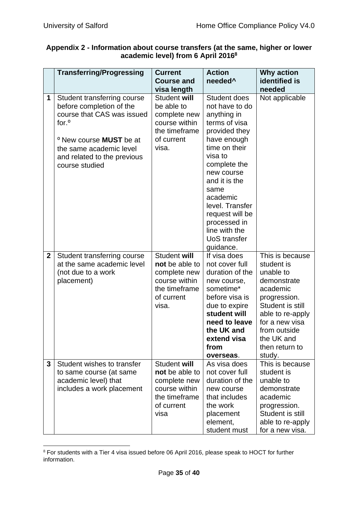|                                                | Appendix 2 - Information about course transfers (at the same, higher or lower |  |  |  |
|------------------------------------------------|-------------------------------------------------------------------------------|--|--|--|
| academic level) from 6 April 2016 <sup>8</sup> |                                                                               |  |  |  |

|              | <b>Transferring/Progressing</b>                                                                                                                                                                                                     | <b>Current</b><br><b>Course and</b>                                                                     | <b>Action</b><br>needed <sup>^</sup>                                                                                                                                                                                                                                                                     | Why action<br>identified is                                                                                                                                                                               |
|--------------|-------------------------------------------------------------------------------------------------------------------------------------------------------------------------------------------------------------------------------------|---------------------------------------------------------------------------------------------------------|----------------------------------------------------------------------------------------------------------------------------------------------------------------------------------------------------------------------------------------------------------------------------------------------------------|-----------------------------------------------------------------------------------------------------------------------------------------------------------------------------------------------------------|
|              |                                                                                                                                                                                                                                     | visa length                                                                                             |                                                                                                                                                                                                                                                                                                          | needed                                                                                                                                                                                                    |
| 1            | Student transferring course<br>before completion of the<br>course that CAS was issued<br>for. <sup>o</sup><br><sup>o</sup> New course <b>MUST</b> be at<br>the same academic level<br>and related to the previous<br>course studied | Student will<br>be able to<br>complete new<br>course within<br>the timeframe<br>of current<br>visa.     | Student does<br>not have to do<br>anything in<br>terms of visa<br>provided they<br>have enough<br>time on their<br>visa to<br>complete the<br>new course<br>and it is the<br>same<br>academic<br>level. Transfer<br>request will be<br>processed in<br>line with the<br><b>UoS</b> transfer<br>guidance. | Not applicable                                                                                                                                                                                            |
| $\mathbf{2}$ | Student transferring course<br>at the same academic level<br>(not due to a work<br>placement)                                                                                                                                       | Student will<br>not be able to<br>complete new<br>course within<br>the timeframe<br>of current<br>visa. | If visa does<br>not cover full<br>duration of the<br>new course,<br>sometime*<br>before visa is<br>due to expire<br>student will<br>need to leave<br>the UK and<br>extend visa<br>from<br>overseas.                                                                                                      | This is because<br>student is<br>unable to<br>demonstrate<br>academic<br>progression.<br>Student is still<br>able to re-apply<br>for a new visa<br>from outside<br>the UK and<br>then return to<br>study. |
| $\mathbf{3}$ | Student wishes to transfer<br>to same course (at same<br>academic level) that<br>includes a work placement                                                                                                                          | Student will<br>not be able to<br>complete new<br>course within<br>the timeframe<br>of current<br>visa  | As visa does<br>not cover full<br>duration of the<br>new course<br>that includes<br>the work<br>placement<br>element,<br>student must                                                                                                                                                                    | This is because<br>student is<br>unable to<br>demonstrate<br>academic<br>progression.<br>Student is still<br>able to re-apply<br>for a new visa.                                                          |

<sup>8</sup> For students with a Tier 4 visa issued before 06 April 2016, please speak to HOCT for further information.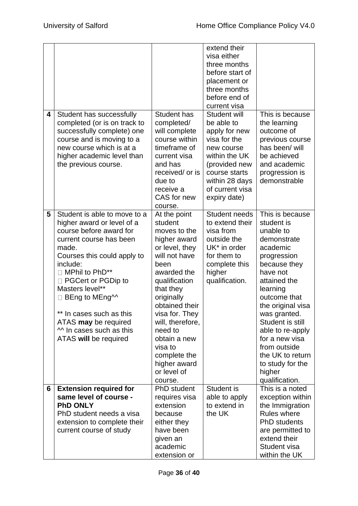|   |                               |                    | extend their         |                    |
|---|-------------------------------|--------------------|----------------------|--------------------|
|   |                               |                    | visa either          |                    |
|   |                               |                    | three months         |                    |
|   |                               |                    | before start of      |                    |
|   |                               |                    | placement or         |                    |
|   |                               |                    | three months         |                    |
|   |                               |                    | before end of        |                    |
|   |                               |                    | current visa         |                    |
| 4 | Student has successfully      | <b>Student has</b> | Student will         | This is because    |
|   | completed (or is on track to  | completed/         | be able to           | the learning       |
|   | successfully complete) one    | will complete      | apply for new        | outcome of         |
|   | course and is moving to a     | course within      | visa for the         | previous course    |
|   | new course which is at a      | timeframe of       | new course           | has been/ will     |
|   | higher academic level than    | current visa       | within the UK        | be achieved        |
|   | the previous course.          | and has            | (provided new        | and academic       |
|   |                               | received/ or is    | course starts        | progression is     |
|   |                               | due to             | within 28 days       | demonstrable       |
|   |                               | receive a          | of current visa      |                    |
|   |                               | CAS for new        | expiry date)         |                    |
|   |                               | course.            |                      |                    |
| 5 | Student is able to move to a  | At the point       | <b>Student needs</b> | This is because    |
|   | higher award or level of a    | student            | to extend their      | student is         |
|   | course before award for       | moves to the       | visa from            | unable to          |
|   | current course has been       | higher award       | outside the          | demonstrate        |
|   | made.                         | or level, they     | UK* in order         | academic           |
|   | Courses this could apply to   | will not have      | for them to          | progression        |
|   | include:                      | been               | complete this        | because they       |
|   | □ MPhil to PhD**              | awarded the        | higher               | have not           |
|   | PGCert or PGDip to            | qualification      | qualification.       | attained the       |
|   | Masters level**               | that they          |                      | learning           |
|   | □ BEng to MEng <sup>11</sup>  | originally         |                      | outcome that       |
|   |                               | obtained their     |                      | the original visa  |
|   | In cases such as this         | visa for. They     |                      | was granted.       |
|   | ATAS may be required          | will, therefore,   |                      | Student is still   |
|   | $\sim$ In cases such as this  | need to            |                      | able to re-apply   |
|   | ATAS will be required         | obtain a new       |                      | for a new visa     |
|   |                               | visa to            |                      | from outside       |
|   |                               | complete the       |                      | the UK to return   |
|   |                               | higher award       |                      | to study for the   |
|   |                               | or level of        |                      | higher             |
|   |                               | course.            |                      | qualification.     |
| 6 | <b>Extension required for</b> | PhD student        | Student is           | This is a noted    |
|   | same level of course -        | requires visa      | able to apply        | exception within   |
|   | <b>PhD ONLY</b>               | extension          | to extend in         | the Immigration    |
|   | PhD student needs a visa      | because            | the UK               | <b>Rules where</b> |
|   | extension to complete their   | either they        |                      | PhD students       |
|   | current course of study       | have been          |                      | are permitted to   |
|   |                               | given an           |                      | extend their       |
|   |                               | academic           |                      | Student visa       |
|   |                               | extension or       |                      | within the UK      |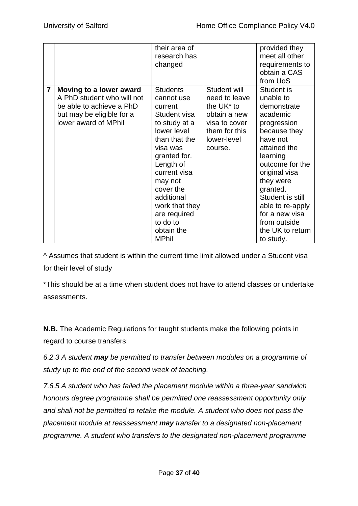|                |                            | their area of   |                        | provided they    |
|----------------|----------------------------|-----------------|------------------------|------------------|
|                |                            | research has    |                        | meet all other   |
|                |                            | changed         |                        | requirements to  |
|                |                            |                 |                        | obtain a CAS     |
|                |                            |                 |                        | from UoS         |
| $\overline{7}$ | Moving to a lower award    | <b>Students</b> | Student will           | Student is       |
|                | A PhD student who will not | cannot use      | need to leave          | unable to        |
|                | be able to achieve a PhD   | current         | the UK <sup>*</sup> to | demonstrate      |
|                | but may be eligible for a  | Student visa    | obtain a new           | academic         |
|                | lower award of MPhil       | to study at a   | visa to cover          | progression      |
|                |                            | lower level     | them for this          | because they     |
|                |                            | than that the   | lower-level            | have not         |
|                |                            | visa was        | course.                | attained the     |
|                |                            | granted for.    |                        | learning         |
|                |                            | Length of       |                        | outcome for the  |
|                |                            | current visa    |                        | original visa    |
|                |                            | may not         |                        | they were        |
|                |                            | cover the       |                        | granted.         |
|                |                            | additional      |                        | Student is still |
|                |                            | work that they  |                        | able to re-apply |
|                |                            | are required    |                        | for a new visa   |
|                |                            | to do to        |                        | from outside     |
|                |                            | obtain the      |                        | the UK to return |
|                |                            | <b>MPhil</b>    |                        | to study.        |

^ Assumes that student is within the current time limit allowed under a Student visa for their level of study

\*This should be at a time when student does not have to attend classes or undertake assessments.

**N.B.** The Academic Regulations for taught students make the following points in regard to course transfers:

*6.2.3 A student may be permitted to transfer between modules on a programme of study up to the end of the second week of teaching.*

*7.6.5 A student who has failed the placement module within a three-year sandwich honours degree programme shall be permitted one reassessment opportunity only and shall not be permitted to retake the module. A student who does not pass the placement module at reassessment may transfer to a designated non-placement programme. A student who transfers to the designated non-placement programme*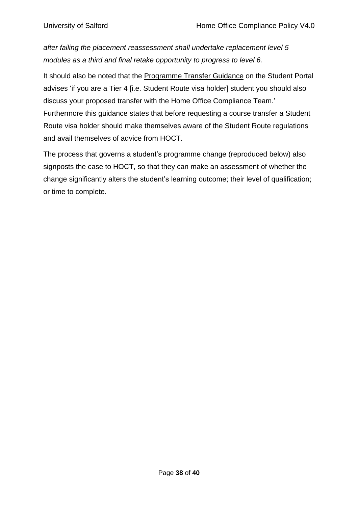*after failing the placement reassessment shall undertake replacement level 5 modules as a third and final retake opportunity to progress to level 6.*

It should also be noted that the [Programme](https://sss.salford.ac.uk/ProgrammeTransfer/Guidance/0) Transfer Guidance on the Student Portal advises 'if you are a Tier 4 [i.e. Student Route visa holder] student you should also discuss your proposed transfer with the Home Office Compliance Team.' Furthermore this guidance states that before requesting a course transfer a Student Route visa holder should make themselves aware of the Student Route regulations and avail themselves of advice from HOCT.

The process that governs a student's programme change (reproduced below) also signposts the case to HOCT, so that they can make an assessment of whether the change significantly alters the student's learning outcome; their level of qualification; or time to complete.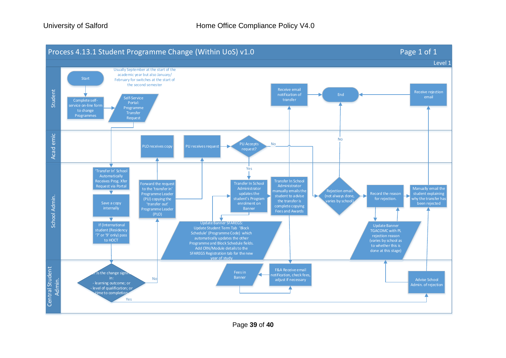